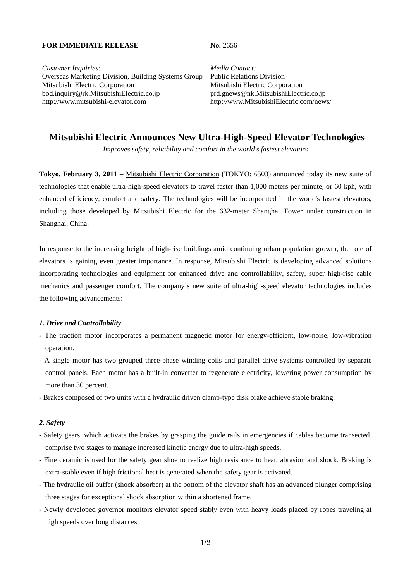#### **FOR IMMEDIATE RELEASE No. 2656**

*Customer Inquiries: Media Contact:* Overseas Marketing Division, Building Systems Group Public Relations Division Mitsubishi Electric Corporation Mitsubishi Electric Corporation bod.inquiry@rk.MitsubishiElectric.co.jp prd.gnews@nk.MitsubishiElectric.co.jp http://www.mitsubishi-elevator.com http://www.MitsubishiElectric.com/news/

# **Mitsubishi Electric Announces New Ultra-High-Speed Elevator Technologies**

*Improves safety, reliability and comfort in the world's fastest elevators* 

**Tokyo, February 3, 2011** – Mitsubishi Electric Corporation (TOKYO: 6503) announced today its new suite of technologies that enable ultra-high-speed elevators to travel faster than 1,000 meters per minute, or 60 kph, with enhanced efficiency, comfort and safety. The technologies will be incorporated in the world's fastest elevators, including those developed by Mitsubishi Electric for the 632-meter Shanghai Tower under construction in Shanghai, China.

In response to the increasing height of high-rise buildings amid continuing urban population growth, the role of elevators is gaining even greater importance. In response, Mitsubishi Electric is developing advanced solutions incorporating technologies and equipment for enhanced drive and controllability, safety, super high-rise cable mechanics and passenger comfort. The company's new suite of ultra-high-speed elevator technologies includes the following advancements:

#### *1. Drive and Controllability*

- The traction motor incorporates a permanent magnetic motor for energy-efficient, low-noise, low-vibration operation.
- A single motor has two grouped three-phase winding coils and parallel drive systems controlled by separate control panels. Each motor has a built-in converter to regenerate electricity, lowering power consumption by more than 30 percent.
- Brakes composed of two units with a hydraulic driven clamp-type disk brake achieve stable braking.

## *2. Safety*

- Safety gears, which activate the brakes by grasping the guide rails in emergencies if cables become transected, comprise two stages to manage increased kinetic energy due to ultra-high speeds.
- Fine ceramic is used for the safety gear shoe to realize high resistance to heat, abrasion and shock. Braking is extra-stable even if high frictional heat is generated when the safety gear is activated.
- The hydraulic oil buffer (shock absorber) at the bottom of the elevator shaft has an advanced plunger comprising three stages for exceptional shock absorption within a shortened frame.
- Newly developed governor monitors elevator speed stably even with heavy loads placed by ropes traveling at high speeds over long distances.